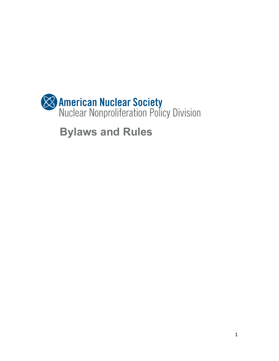

**Bylaws and Rules**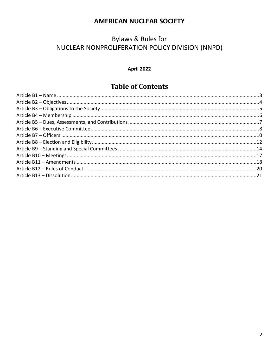#### **AMERICAN NUCLEAR SOCIETY**

## **Bylaws & Rules for** NUCLEAR NONPROLIFERATION POLICY DIVISION (NNPD)

#### **April 2022**

## **Table of Contents**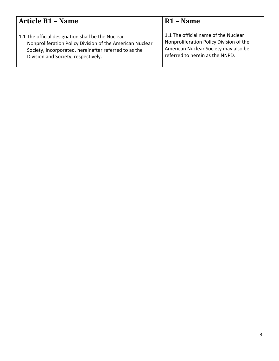<span id="page-2-0"></span>

| <b>Article B1 - Name</b>                                 | R <sub>1</sub> – Name                   |
|----------------------------------------------------------|-----------------------------------------|
| 1.1 The official designation shall be the Nuclear        | 1.1 The official name of the Nuclear    |
| Nonproliferation Policy Division of the American Nuclear | Nonproliferation Policy Division of the |
| Society, Incorporated, hereinafter referred to as the    | American Nuclear Society may also be    |
| Division and Society, respectively.                      | referred to herein as the NNPD.         |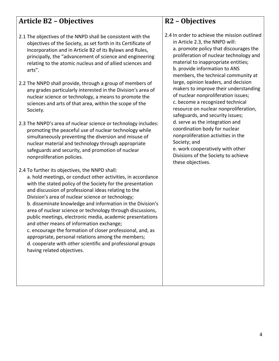# <span id="page-3-0"></span>**Article B2 – Objectives**

- 2.1 The objectives of the NNPD shall be consistent with the objectives of the Society, as set forth in its Certificate of Incorporation and in Article B2 of its Bylaws and Rules, principally, the "advancement of science and engineering relating to the atomic nucleus and of allied sciences and arts".
- 2.2 The NNPD shall provide, through a group of members of any grades particularly interested in the Division's area of nuclear science or technology, a means to promote the sciences and arts of that area, within the scope of the Society.
- 2.3 The NNPD's area of nuclear science or technology includes: promoting the peaceful use of nuclear technology while simultaneously preventing the diversion and misuse of nuclear material and technology through appropriate safeguards and security, and promotion of nuclear nonproliferation policies.
- 2.4 To further its objectives, the NNPD shall: a. hold meetings, or conduct other activities, in accordance with the stated policy of the Society for the presentation and discussion of professional ideas relating to the Division's area of nuclear science or technology; b. disseminate knowledge and information in the Division's area of nuclear science or technology through discussions, public meetings, electronic media, academic presentations and other means of information exchange; c. encourage the formation of closer professional, and, as appropriate, personal relations among the members; d. cooperate with other scientific and professional groups having related objectives.

## **R2 – Objectives**

2.4 In order to achieve the mission outlined in Article 2.3, the NNPD will: a. promote policy that discourages the proliferation of nuclear technology and material to inappropriate entities; b. provide information to ANS members, the technical community at large, opinion leaders, and decision makers to improve their understanding of nuclear nonproliferation issues; c. become a recognized technical resource on nuclear nonproliferation, safeguards, and security issues; d. serve as the integration and coordination body for nuclear nonproliferation activities in the Society; and e. work cooperatively with other

Divisions of the Society to achieve these objectives.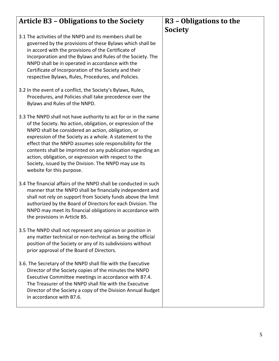#### <span id="page-4-0"></span>**Article B3 – Obligations to the Society** 3.1 The activities of the NNPD and its members shall be governed by the provisions of these Bylaws which shall be in accord with the provisions of the Certificate of Incorporation and the Bylaws and Rules of the Society. The NNPD shall be in operated in accordance with the Certificate of Incorporation of the Society and their respective Bylaws, Rules, Procedures, and Policies. 3.2 In the event of a conflict, the Society's Bylaws, Rules, Procedures, and Policies shall take precedence over the Bylaws and Rules of the NNPD. 3.3 The NNPD shall not have authority to act for or in the name of the Society. No action, obligation, or expression of the NNPD shall be considered an action, obligation, or expression of the Society as a whole. A statement to the effect that the NNPD assumes sole responsibility for the contents shall be imprinted on any publication regarding an action, obligation, or expression with respect to the Society, issued by the Division. The NNPD may use its website for this purpose. 3.4 The financial affairs of the NNPD shall be conducted in such manner that the NNPD shall be financially independent and shall not rely on support from Society funds above the limit authorized by the Board of Directors for each Division. The NNPD may meet its financial obligations in accordance with the provisions in Article B5. 3.5 The NNPD shall not represent any opinion or position in any matter technical or non-technical as being the official position of the Society or any of its subdivisions without prior approval of the Board of Directors. 3.6. The Secretary of the NNPD shall file with the Executive Director of the Society copies of the minutes the NNPD Executive Committee meetings in accordance with B7.4. The Treasurer of the NNPD shall file with the Executive Director of the Society a copy of the Division Annual Budget in accordance with B7.6. **R3 – Obligations to the Society**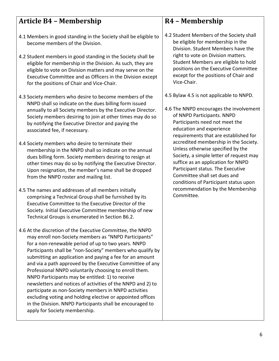# <span id="page-5-0"></span>**Article B4 – Membership**

- 4.1 Members in good standing in the Society shall be eligible to become members of the Division.
- 4.2 Student members in good standing in the Society shall be eligible for membership in the Division. As such, they are eligible to vote on Division matters and may serve on the Executive Committee and as Officers in the Division except for the positions of Chair and Vice-Chair.
- 4.3 Society members who desire to become members of the NNPD shall so indicate on the dues billing form issued annually to all Society members by the Executive Director. Society members desiring to join at other times may do so by notifying the Executive Director and paying the associated fee, if necessary.
- 4.4 Society members who desire to terminate their membership in the NNPD shall so indicate on the annual dues billing form. Society members desiring to resign at other times may do so by notifying the Executive Director. Upon resignation, the member's name shall be dropped from the NNPD roster and mailing list.
- 4.5 The names and addresses of all members initially comprising a Technical Group shall be furnished by its Executive Committee to the Executive Director of the Society. Initial Executive Committee membership of new Technical Groups is enumerated in Section B6.2.
- 4.6 At the discretion of the Executive Committee, the NNPD may enroll non-Society members as "NNPD Participants" for a non-renewable period of up to two years. NNPD Participants shall be "non-Society" members who qualify by submitting an application and paying a fee for an amount and via a path approved by the Executive Committee of any Professional NNPD voluntarily choosing to enroll them. NNPD Participants may be entitled: 1) to receive newsletters and notices of activities of the NNPD and 2) to participate as non-Society members in NNPD activities excluding voting and holding elective or appointed offices in the Division. NNPD Participants shall be encouraged to apply for Society membership.

# **R4 – Membership**

- 4.2 Student Members of the Society shall be eligible for membership in the Division. Student Members have the right to vote on Division matters. Student Members are eligible to hold positions on the Executive Committee except for the positions of Chair and Vice-Chair.
- 4.5 Bylaw 4.5 is not applicable to NNPD.
- 4.6 The NNPD encourages the involvement of NNPD Participants. NNPD Participants need not meet the education and experience requirements that are established for accredited membership in the Society. Unless otherwise specified by the Society, a simple letter of request may suffice as an application for NNPD Participant status. The Executive Committee shall set dues and conditions of Participant status upon recommendation by the Membership Committee.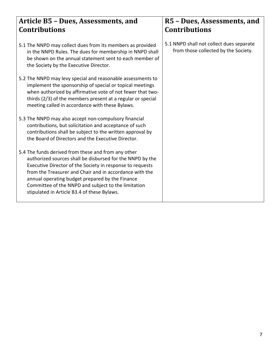### <span id="page-6-0"></span>**Article B5 – Dues, Assessments, and Contributions**

- 5.1 The NNPD may collect dues from its members as provided in the NNPD Rules. The dues for membership in NNPD shall be shown on the annual statement sent to each member of the Society by the Executive Director.
- 5.2 The NNPD may levy special and reasonable assessments to implement the sponsorship of special or topical meetings when authorized by affirmative vote of not fewer that twothirds (2/3) of the members present at a regular or special meeting called in accordance with these Bylaws.
- 5.3 The NNPD may also accept non-compulsory financial contributions, but solicitation and acceptance of such contributions shall be subject to the written approval by the Board of Directors and the Executive Director.
- 5.4 The funds derived from these and from any other authorized sources shall be disbursed for the NNPD by the Executive Director of the Society in response to requests from the Treasurer and Chair and in accordance with the annual operating budget prepared by the Finance Committee of the NNPD and subject to the limitation stipulated in Article B3.4 of these Bylaws.

### **R5 – Dues, Assessments, and Contributions**

5.1 NNPD shall not collect dues separate from those collected by the Society.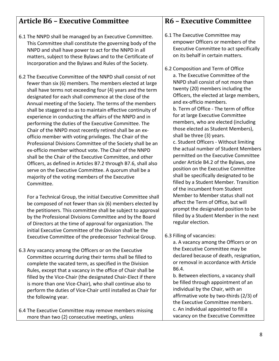# <span id="page-7-0"></span>**Article B6 – Executive Committee**

- 6.1 The NNPD shall be managed by an Executive Committee. This Committee shall constitute the governing body of the NNPD and shall have power to act for the NNPD in all matters, subject to these Bylaws and to the Certificate of Incorporation and the Bylaws and Rules of the Society.
- 6.2 The Executive Committee of the NNPD shall consist of not fewer than six (6) members. The members elected at large shall have terms not exceeding four (4) years and the term designated for each shall commence at the close of the Annual meeting of the Society. The terms of the members shall be staggered so as to maintain effective continuity of experience in conducting the affairs of the NNPD and in performing the duties of the Executive Committee. The Chair of the NNPD most recently retired shall be an exofficio member with voting privileges. The Chair of the Professional Divisions Committee of the Society shall be an ex-officio member without vote. The Chair of the NNPD shall be the Chair of the Executive Committee, and other Officers, as defined in Articles B7.2 through B7.6, shall also serve on the Executive Committee. A quorum shall be a majority of the voting members of the Executive Committee.

For a Technical Group, the initial Executive Committee shall be composed of not fewer than six (6) members elected by the petitioners. This committee shall be subject to approval by the Professional Divisions Committee and by the Board of Directors at the time of approval for organization. The initial Executive Committee of the Division shall be the Executive Committee of the predecessor Technical Group.

- 6.3 Any vacancy among the Officers or on the Executive Committee occurring during their terms shall be filled to complete the vacated term, as specified in the Division Rules, except that a vacancy in the office of Chair shall be filled by the Vice-Chair (the designated Chair-Elect if there is more than one Vice-Chair), who shall continue also to perform the duties of Vice-Chair until installed as Chair for the following year.
- 6.4 The Executive Committee may remove members missing more than two (2) consecutive meetings, unless

### **R6 – Executive Committee**

- 6.1 The Executive Committee may empower Officers or members of the Executive Committee to act specifically on its behalf in certain matters.
- 6.2 Composition and Term of Office a. The Executive Committee of the NNPD shall consist of not more than twenty (20) members including the Officers, the elected at large members, and ex-officio members. b. Term of Office - The term of office

for at large Executive Committee members, who are elected (including those elected as Student Members), shall be three (3) years.

c. Student Officers - Without limiting the actual number of Student Members permitted on the Executive Committee under Article B4.2 of the Bylaws, one position on the Executive Committee shall be specifically designated to be filled by a Student Member. Transition of the incumbent from Student Member to Member status shall not affect the Term of Office, but will prompt the designated position to be filled by a Student Member in the next regular election.

6.3 Filling of vacancies:

a. A vacancy among the Officers or on the Executive Committee may be declared because of death, resignation, or removal in accordance with Article B6.4.

b. Between elections, a vacancy shall be filled through appointment of an individual by the Chair, with an affirmative vote by two-thirds (2/3) of the Executive Committee members. c. An individual appointed to fill a vacancy on the Executive Committee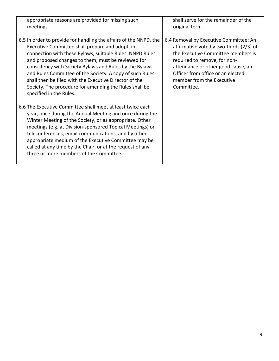| appropriate reasons are provided for missing such<br>meetings.                                                                                                                                                                                                                                                                                                                                                                                                                                                | shall serve for the remainder of the<br>original term.                                                                                                                                                                                                                        |
|---------------------------------------------------------------------------------------------------------------------------------------------------------------------------------------------------------------------------------------------------------------------------------------------------------------------------------------------------------------------------------------------------------------------------------------------------------------------------------------------------------------|-------------------------------------------------------------------------------------------------------------------------------------------------------------------------------------------------------------------------------------------------------------------------------|
| 6.5 In order to provide for handling the affairs of the NNPD, the<br>Executive Committee shall prepare and adopt, in<br>connection with these Bylaws, suitable Rules. NNPD Rules,<br>and proposed changes to them, must be reviewed for<br>consistency with Society Bylaws and Rules by the Bylaws<br>and Rules Committee of the Society. A copy of such Rules<br>shall then be filed with the Executive Director of the<br>Society. The procedure for amending the Rules shall be<br>specified in the Rules. | 6.4 Removal by Executive Committee: An<br>affirmative vote by two-thirds (2/3) of<br>the Executive Committee members is<br>required to remove, for non-<br>attendance or other good cause, an<br>Officer from office or an elected<br>member from the Executive<br>Committee. |
| 6.6 The Executive Committee shall meet at least twice each<br>year, once during the Annual Meeting and once during the<br>Winter Meeting of the Society, or as appropriate. Other<br>meetings (e.g. at Division-sponsored Topical Meetings) or<br>teleconferences, email communications, and by other<br>appropriate medium of the Executive Committee may be<br>called at any time by the Chair, or at the request of any<br>three or more members of the Committee.                                         |                                                                                                                                                                                                                                                                               |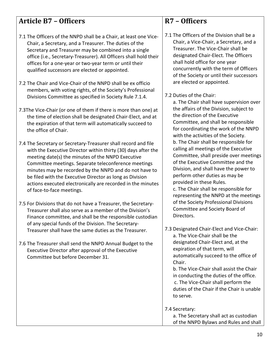# <span id="page-9-0"></span>**Article B7 – Officers**

- 7.1 The Officers of the NNPD shall be a Chair, at least one Vice-Chair, a Secretary, and a Treasurer. The duties of the Secretary and Treasurer may be combined into a single office (i.e., Secretary-Treasurer). All Officers shall hold their offices for a one-year or two-year term or until their qualified successors are elected or appointed.
- 7.2 The Chair and Vice-Chair of the NNPD shall be ex officio members, with voting rights, of the Society's Professional Divisions Committee as specified in Society Rule 7.1.4.
- 7.3The Vice-Chair (or one of them if there is more than one) at the time of election shall be designated Chair-Elect, and at the expiration of that term will automatically succeed to the office of Chair.
- 7.4 The Secretary or Secretary-Treasurer shall record and file with the Executive Director within thirty (30) days after the meeting date(s) the minutes of the NNPD Executive Committee meetings. Separate teleconference meetings minutes may be recorded by the NNPD and do not have to be filed with the Executive Director as long as Division actions executed electronically are recorded in the minutes of face-to-face meetings.
- 7.5 For Divisions that do not have a Treasurer, the Secretary-Treasurer shall also serve as a member of the Division's Finance committee, and shall be the responsible custodian of any special funds of the Division. The Secretary-Treasurer shall have the same duties as the Treasurer.
- 7.6 The Treasurer shall send the NNPD Annual Budget to the Executive Director after approval of the Executive Committee but before December 31.

### **R7 – Officers**

- 7.1 The Officers of the Division shall be a Chair, a Vice-Chair, a Secretary, and a Treasurer. The Vice-Chair shall be designated Chair-Elect. The Officers shall hold office for one year concurrently with the term of Officers of the Society or until their successors are elected or appointed.
- 7.2 Duties of the Chair:

a. The Chair shall have supervision over the affairs of the Division, subject to the direction of the Executive Committee, and shall be responsible for coordinating the work of the NNPD with the activities of the Society. b. The Chair shall be responsible for calling all meetings of the Executive Committee, shall preside over meetings of the Executive Committee and the Division, and shall have the power to perform other duties as may be provided in these Rules.

c. The Chair shall be responsible for representing the NNPD at the meetings of the Society Professional Divisions Committee and Society Board of Directors.

7.3 Designated Chair-Elect and Vice-Chair: a. The Vice-Chair shall be the designated Chair-Elect and, at the expiration of that term, will automatically succeed to the office of Chair. b. The Vice-Chair shall assist the Chair

in conducting the duties of the office. c. The Vice-Chair shall perform the duties of the Chair if the Chair is unable to serve.

7.4 Secretary:

- a. The Secretary shall act as custodian
- of the NNPD Bylaws and Rules and shall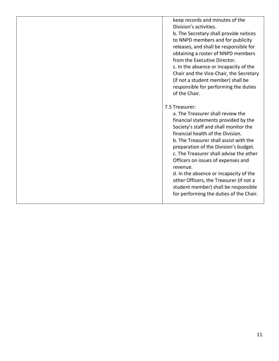keep records and minutes of the Division's activities.

b. The Secretary shall provide notices to NNPD members and for publicity releases, and shall be responsible for obtaining a roster of NNPD members from the Executive Director. c. In the absence or incapacity of the Chair and the Vice-Chair, the Secretary (if not a student member) shall be responsible for performing the duties of the Chair.

#### 7.5 Treasurer:

a. The Treasurer shall review the financial statements provided by the Society's staff and shall monitor the financial health of the Division. b. The Treasurer shall assist with the preparation of the Division's budget. c. The Treasurer shall advise the other Officers on issues of expenses and revenue.

d. In the absence or incapacity of the other Officers, the Treasurer (if not a student member) shall be responsible for performing the duties of the Chair.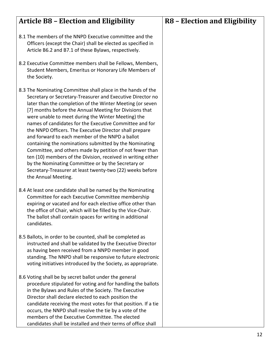<span id="page-11-0"></span>

| <b>Article B8 - Election and Eligibility</b>                                                                                                                                                                                                                                                                                                                                                                                                                                                                                                                                                                                                                                                                                                                                                                      | <b>R8 - Election and Eligibility</b> |
|-------------------------------------------------------------------------------------------------------------------------------------------------------------------------------------------------------------------------------------------------------------------------------------------------------------------------------------------------------------------------------------------------------------------------------------------------------------------------------------------------------------------------------------------------------------------------------------------------------------------------------------------------------------------------------------------------------------------------------------------------------------------------------------------------------------------|--------------------------------------|
| 8.1 The members of the NNPD Executive committee and the<br>Officers (except the Chair) shall be elected as specified in<br>Article B6.2 and B7.1 of these Bylaws, respectively.                                                                                                                                                                                                                                                                                                                                                                                                                                                                                                                                                                                                                                   |                                      |
| 8.2 Executive Committee members shall be Fellows, Members,<br>Student Members, Emeritus or Honorary Life Members of<br>the Society.                                                                                                                                                                                                                                                                                                                                                                                                                                                                                                                                                                                                                                                                               |                                      |
| 8.3 The Nominating Committee shall place in the hands of the<br>Secretary or Secretary-Treasurer and Executive Director no<br>later than the completion of the Winter Meeting (or seven<br>[7] months before the Annual Meeting for Divisions that<br>were unable to meet during the Winter Meeting) the<br>names of candidates for the Executive Committee and for<br>the NNPD Officers. The Executive Director shall prepare<br>and forward to each member of the NNPD a ballot<br>containing the nominations submitted by the Nominating<br>Committee, and others made by petition of not fewer than<br>ten (10) members of the Division, received in writing either<br>by the Nominating Committee or by the Secretary or<br>Secretary-Treasurer at least twenty-two (22) weeks before<br>the Annual Meeting. |                                      |
| 8.4 At least one candidate shall be named by the Nominating<br>Committee for each Executive Committee membership<br>expiring or vacated and for each elective office other than<br>the office of Chair, which will be filled by the Vice-Chair.<br>The ballot shall contain spaces for writing in additional<br>candidates.                                                                                                                                                                                                                                                                                                                                                                                                                                                                                       |                                      |
| 8.5 Ballots, in order to be counted, shall be completed as<br>instructed and shall be validated by the Executive Director<br>as having been received from a NNPD member in good<br>standing. The NNPD shall be responsive to future electronic<br>voting initiatives introduced by the Society, as appropriate.                                                                                                                                                                                                                                                                                                                                                                                                                                                                                                   |                                      |
| 8.6 Voting shall be by secret ballot under the general<br>procedure stipulated for voting and for handling the ballots<br>in the Bylaws and Rules of the Society. The Executive<br>Director shall declare elected to each position the<br>candidate receiving the most votes for that position. If a tie<br>occurs, the NNPD shall resolve the tie by a vote of the<br>members of the Executive Committee. The elected<br>candidates shall be installed and their terms of office shall                                                                                                                                                                                                                                                                                                                           |                                      |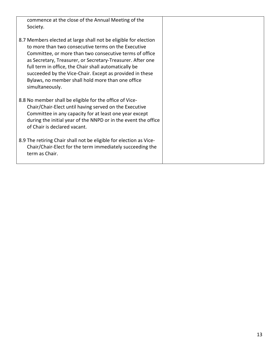| commence at the close of the Annual Meeting of the<br>Society.                                                                                                                                                                                                                                                                                                                                                                               |  |
|----------------------------------------------------------------------------------------------------------------------------------------------------------------------------------------------------------------------------------------------------------------------------------------------------------------------------------------------------------------------------------------------------------------------------------------------|--|
| 8.7 Members elected at large shall not be eligible for election<br>to more than two consecutive terms on the Executive<br>Committee, or more than two consecutive terms of office<br>as Secretary, Treasurer, or Secretary-Treasurer. After one<br>full term in office, the Chair shall automatically be<br>succeeded by the Vice-Chair. Except as provided in these<br>Bylaws, no member shall hold more than one office<br>simultaneously. |  |
| 8.8 No member shall be eligible for the office of Vice-<br>Chair/Chair-Elect until having served on the Executive<br>Committee in any capacity for at least one year except<br>during the initial year of the NNPD or in the event the office<br>of Chair is declared vacant.                                                                                                                                                                |  |
| 8.9 The retiring Chair shall not be eligible for election as Vice-<br>Chair/Chair-Elect for the term immediately succeeding the<br>term as Chair.                                                                                                                                                                                                                                                                                            |  |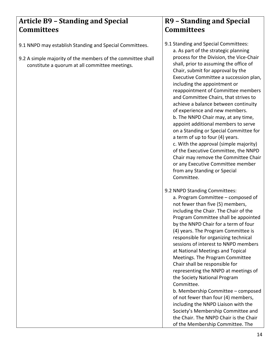## <span id="page-13-0"></span>**Article B9 – Standing and Special Committees**

- 9.1 NNPD may establish Standing and Special Committees.
- 9.2 A simple majority of the members of the committee shall constitute a quorum at all committee meetings.

## **R9 – Standing and Special Committees**

- 9.1 Standing and Special Committees: a. As part of the strategic planning process for the Division, the Vice-Chair shall, prior to assuming the office of Chair, submit for approval by the Executive Committee a succession plan, including the appointment or reappointment of Committee members and Committee Chairs, that strives to achieve a balance between continuity of experience and new members. b. The NNPD Chair may, at any time, appoint additional members to serve on a Standing or Special Committee for a term of up to four (4) years. c. With the approval (simple majority) of the Executive Committee, the NNPD Chair may remove the Committee Chair or any Executive Committee member from any Standing or Special Committee.
- 9.2 NNPD Standing Committees: a. Program Committee – composed of not fewer than five (5) members, including the Chair. The Chair of the Program Committee shall be appointed by the NNPD Chair for a term of four (4) years. The Program Committee is responsible for organizing technical sessions of interest to NNPD members at National Meetings and Topical Meetings. The Program Committee Chair shall be responsible for representing the NNPD at meetings of the Society National Program Committee. b. Membership Committee – composed

of not fewer than four (4) members, including the NNPD Liaison with the Society's Membership Committee and the Chair. The NNPD Chair is the Chair of the Membership Committee. The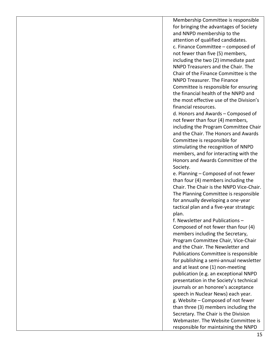Membership Committee is responsible for bringing the advantages of Society and NNPD membership to the attention of qualified candidates. c. Finance Committee – composed of not fewer than five (5) members, including the two (2) immediate past NNPD Treasurers and the Chair. The Chair of the Finance Committee is the NNPD Treasurer. The Finance Committee is responsible for ensuring the financial health of the NNPD and the most effective use of the Division's financial resources.

d. Honors and Awards – Composed of not fewer than four (4) members, including the Program Committee Chair and the Chair. The Honors and Awards Committee is responsible for stimulating the recognition of NNPD members, and for interacting with the Honors and Awards Committee of the Society.

e. Planning – Composed of not fewer than four (4) members including the Chair. The Chair is the NNPD Vice-Chair. The Planning Committee is responsible for annually developing a one-year tactical plan and a five-year strategic plan.

f. Newsletter and Publications – Composed of not fewer than four (4) members including the Secretary, Program Committee Chair, Vice-Chair and the Chair. The Newsletter and Publications Committee is responsible for publishing a semi-annual newsletter and at least one (1) non-meeting publication (e.g. an exceptional NNPD presentation in the Society's technical journals or an honoree's acceptance speech in Nuclear News) each year. g. Website – Composed of not fewer than three (3) members including the Secretary. The Chair is the Division Webmaster. The Website Committee is responsible for maintaining the NNPD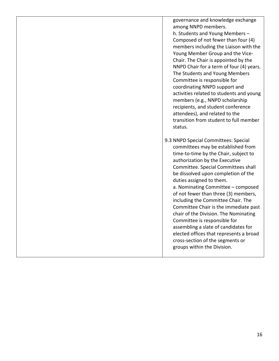governance and knowledge exchange among NNPD members. h. Students and Young Members – Composed of not fewer than four (4) members including the Liaison with the Young Member Group and the Vice-Chair. The Chair is appointed by the NNPD Chair for a term of four (4) years. The Students and Young Members Committee is responsible for coordinating NNPD support and activities related to students and young members (e.g., NNPD scholarship recipients, and student conference attendees), and related to the

transition from student to full member

status. 9.3 NNPD Special Committees: Special committees may be established from time-to-time by the Chair, subject to authorization by the Executive Committee. Special Committees shall be dissolved upon completion of the duties assigned to them. a. Nominating Committee – composed of not fewer than three (3) members, including the Committee Chair. The Committee Chair is the immediate past chair of the Division. The Nominating Committee is responsible for assembling a slate of candidates for elected offices that represents a broad

cross-section of the segments or

groups within the Division.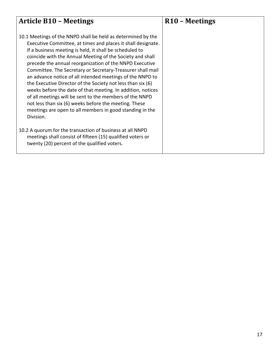<span id="page-16-0"></span>

| <b>Article B10 - Meetings</b>                                                                                                                                                                                                                                                                                                                                                                                                                                                                                                                                                                                                                                                                                                                                         | R <sub>10</sub> – Meetings |
|-----------------------------------------------------------------------------------------------------------------------------------------------------------------------------------------------------------------------------------------------------------------------------------------------------------------------------------------------------------------------------------------------------------------------------------------------------------------------------------------------------------------------------------------------------------------------------------------------------------------------------------------------------------------------------------------------------------------------------------------------------------------------|----------------------------|
| 10.1 Meetings of the NNPD shall be held as determined by the<br>Executive Committee, at times and places it shall designate.<br>If a business meeting is held, it shall be scheduled to<br>coincide with the Annual Meeting of the Society and shall<br>precede the annual reorganization of the NNPD Executive<br>Committee. The Secretary or Secretary-Treasurer shall mail<br>an advance notice of all intended meetings of the NNPD to<br>the Executive Director of the Society not less than six (6)<br>weeks before the date of that meeting. In addition, notices<br>of all meetings will be sent to the members of the NNPD<br>not less than six (6) weeks before the meeting. These<br>meetings are open to all members in good standing in the<br>Division. |                            |
| 10.2 A quorum for the transaction of business at all NNPD<br>meetings shall consist of fifteen (15) qualified voters or<br>twenty (20) percent of the qualified voters.                                                                                                                                                                                                                                                                                                                                                                                                                                                                                                                                                                                               |                            |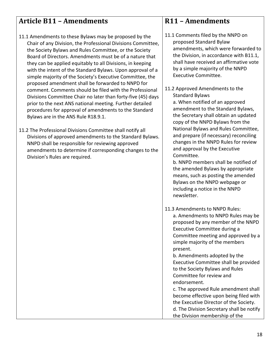## <span id="page-17-0"></span>**Article B11 – Amendments**

- 11.1 Amendments to these Bylaws may be proposed by the Chair of any Division, the Professional Divisions Committee, the Society Bylaws and Rules Committee, or the Society Board of Directors. Amendments must be of a nature that they can be applied equitably to all Divisions, in keeping with the intent of the Standard Bylaws. Upon approval of a simple majority of the Society's Executive Committee, the proposed amendment shall be forwarded to NNPD for comment. Comments should be filed with the Professional Divisions Committee Chair no later than forty-five (45) days prior to the next ANS national meeting. Further detailed procedures for approval of amendments to the Standard Bylaws are in the ANS Rule R18.9.1.
- 11.2 The Professional Divisions Committee shall notify all Divisions of approved amendments to the Standard Bylaws. NNPD shall be responsible for reviewing approved amendments to determine if corresponding changes to the Division's Rules are required.

#### **R11 – Amendments**

- 11.1 Comments filed by the NNPD on proposed Standard Bylaw amendments, which were forwarded to the Division, in accordance with B11.1, shall have received an affirmative vote by a simple majority of the NNPD Executive Committee.
- 11.2 Approved Amendments to the Standard Bylaws

a. When notified of an approved amendment to the Standard Bylaws, the Secretary shall obtain an updated copy of the NNPD Bylaws from the National Bylaws and Rules Committee, and prepare (if necessary) reconciling changes in the NNPD Rules for review and approval by the Executive Committee.

b. NNPD members shall be notified of the amended Bylaws by appropriate means, such as posting the amended Bylaws on the NNPD webpage or including a notice in the NNPD newsletter.

11.3 Amendments to NNPD Rules: a. Amendments to NNPD Rules may be proposed by any member of the NNPD Executive Committee during a Committee meeting and approved by a simple majority of the members present.

b. Amendments adopted by the Executive Committee shall be provided to the Society Bylaws and Rules Committee for review and endorsement.

c. The approved Rule amendment shall become effective upon being filed with the Executive Director of the Society. d. The Division Secretary shall be notify the Division membership of the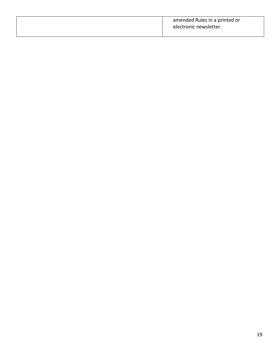|  | amended Rules in a printed or<br>electronic newsletter. |
|--|---------------------------------------------------------|
|--|---------------------------------------------------------|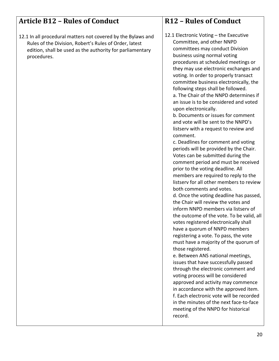#### <span id="page-19-0"></span>**Article B12 – Rules of Conduct** 12.1 In all procedural matters not covered by the Bylaws and Rules of the Division, Robert's Rules of Order, latest edition, shall be used as the authority for parliamentary procedures. **R12 – Rules of Conduct** 12.1 Electronic Voting – the Executive Committee, and other NNPD committees may conduct Division business using normal voting procedures at scheduled meetings or they may use electronic exchanges and voting. In order to properly transact committee business electronically, the following steps shall be followed. a. The Chair of the NNPD determines if an issue is to be considered and voted upon electronically. b. Documents or issues for comment and vote will be sent to the NNPD's listserv with a request to review and comment. c. Deadlines for comment and voting periods will be provided by the Chair.

in the minutes of the next face-to-face meeting of the NNPD for historical

Votes can be submitted during the comment period and must be received

members are required to reply to the listserv for all other members to review

d. Once the voting deadline has passed, the Chair will review the votes and inform NNPD members via listserv of the outcome of the vote. To be valid, all votes registered electronically shall have a quorum of NNPD members registering a vote. To pass, the vote must have a majority of the quorum of

e. Between ANS national meetings, issues that have successfully passed through the electronic comment and voting process will be considered approved and activity may commence in accordance with the approved item. f. Each electronic vote will be recorded

prior to the voting deadline. All

both comments and votes.

those registered.

record.